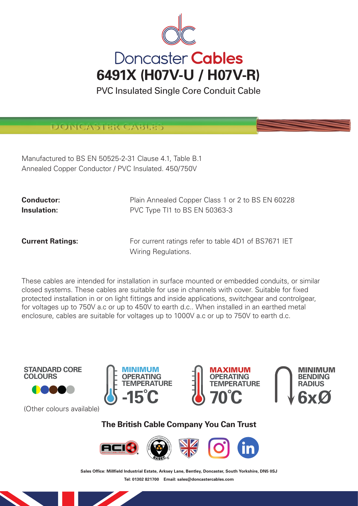

PVC Insulated Single Core Conduit Cable

DONGASTER GABL

Manufactured to BS EN 50525-2-31 Clause 4.1, Table B.1 Annealed Copper Conductor / PVC Insulated. 450/750V

**Conductor:** Plain Annealed Copper Class 1 or 2 to BS EN 60228 **Insulation:** PVC Type TI1 to BS EN 50363-3

**Current Ratings:** For current ratings refer to table 4D1 of BS7671 IET Wiring Regulations.

These cables are intended for installation in surface mounted or embedded conduits, or similar closed systems. These cables are suitable for use in channels with cover. Suitable for fixed protected installation in or on light fittings and inside applications, switchgear and controlgear, for voltages up to 750V a.c or up to 450V to earth d.c.. When installed in an earthed metal enclosure, cables are suitable for voltages up to 1000V a.c or up to 750V to earth d.c.





(Other colours available)







**The British Cable Company You Can Trust**



Sales Office: Millfield Industrial Estate, Arksey Lane, Bentley, Doncaster, South Yorkshire, DN5 0SJ **Tel: 01302 821700 Email: sales@doncastercables.com**